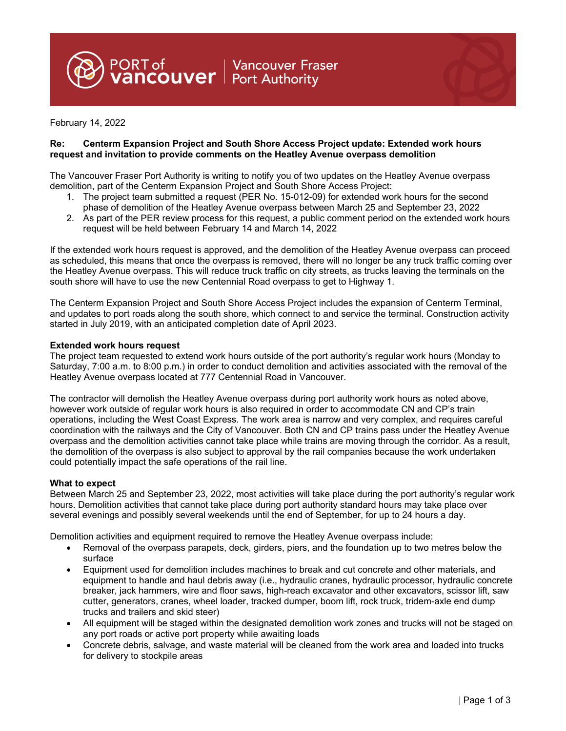PORT of **Nancouver Fraser**<br>**Vancouver** Port Authority

February 14, 2022

### **Re: Centerm Expansion Project and South Shore Access Project update: Extended work hours request and invitation to provide comments on the Heatley Avenue overpass demolition**

The Vancouver Fraser Port Authority is writing to notify you of two updates on the Heatley Avenue overpass demolition, part of the Centerm Expansion Project and South Shore Access Project:

- 1. The project team submitted a request (PER No. 15-012-09) for extended work hours for the second phase of demolition of the Heatley Avenue overpass between March 25 and September 23, 2022
- 2. As part of the PER review process for this request, a public comment period on the extended work hours request will be held between February 14 and March 14, 2022

If the extended work hours request is approved, and the demolition of the Heatley Avenue overpass can proceed as scheduled, this means that once the overpass is removed, there will no longer be any truck traffic coming over the Heatley Avenue overpass. This will reduce truck traffic on city streets, as trucks leaving the terminals on the south shore will have to use the new Centennial Road overpass to get to Highway 1.

The Centerm Expansion Project and South Shore Access Project includes the expansion of Centerm Terminal, and updates to port roads along the south shore, which connect to and service the terminal. Construction activity started in July 2019, with an anticipated completion date of April 2023.

#### **Extended work hours request**

The project team requested to extend work hours outside of the port authority's regular work hours (Monday to Saturday, 7:00 a.m. to 8:00 p.m.) in order to conduct demolition and activities associated with the removal of the Heatley Avenue overpass located at 777 Centennial Road in Vancouver.

The contractor will demolish the Heatley Avenue overpass during port authority work hours as noted above, however work outside of regular work hours is also required in order to accommodate CN and CP's train operations, including the West Coast Express. The work area is narrow and very complex, and requires careful coordination with the railways and the City of Vancouver. Both CN and CP trains pass under the Heatley Avenue overpass and the demolition activities cannot take place while trains are moving through the corridor. As a result, the demolition of the overpass is also subject to approval by the rail companies because the work undertaken could potentially impact the safe operations of the rail line.

### **What to expect**

Between March 25 and September 23, 2022, most activities will take place during the port authority's regular work hours. Demolition activities that cannot take place during port authority standard hours may take place over several evenings and possibly several weekends until the end of September, for up to 24 hours a day.

Demolition activities and equipment required to remove the Heatley Avenue overpass include:

- Removal of the overpass parapets, deck, girders, piers, and the foundation up to two metres below the surface
- Equipment used for demolition includes machines to break and cut concrete and other materials, and equipment to handle and haul debris away (i.e., hydraulic cranes, hydraulic processor, hydraulic concrete breaker, jack hammers, wire and floor saws, high-reach excavator and other excavators, scissor lift, saw cutter, generators, cranes, wheel loader, tracked dumper, boom lift, rock truck, tridem-axle end dump trucks and trailers and skid steer)
- All equipment will be staged within the designated demolition work zones and trucks will not be staged on any port roads or active port property while awaiting loads
- Concrete debris, salvage, and waste material will be cleaned from the work area and loaded into trucks for delivery to stockpile areas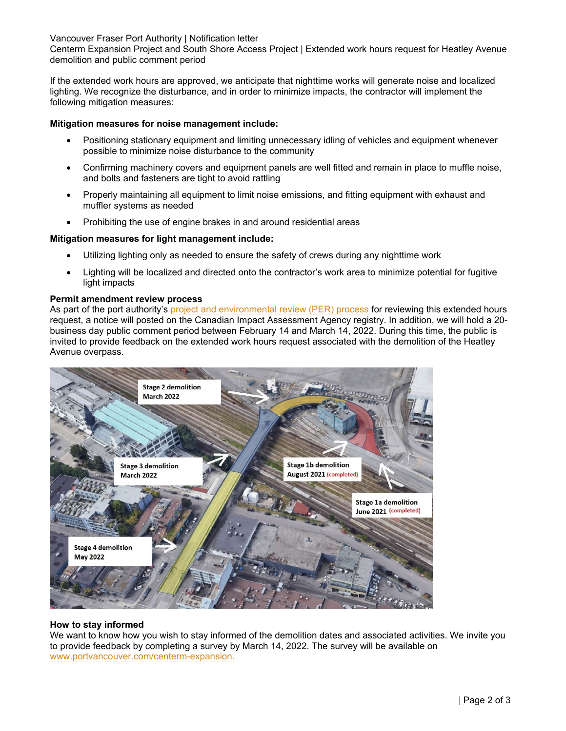Vancouver Fraser Port Authority | Notification letter

Centerm Expansion Project and South Shore Access Project | Extended work hours request for Heatley Avenue demolition and public comment period

If the extended work hours are approved, we anticipate that nighttime works will generate noise and localized lighting. We recognize the disturbance, and in order to minimize impacts, the contractor will implement the following mitigation measures:

# **Mitigation measures for noise management include:**

- Positioning stationary equipment and limiting unnecessary idling of vehicles and equipment whenever possible to minimize noise disturbance to the community
- Confirming machinery covers and equipment panels are well fitted and remain in place to muffle noise, and bolts and fasteners are tight to avoid rattling
- Properly maintaining all equipment to limit noise emissions, and fitting equipment with exhaust and muffler systems as needed
- Prohibiting the use of engine brakes in and around residential areas

# **Mitigation measures for light management include:**

- Utilizing lighting only as needed to ensure the safety of crews during any nighttime work
- Lighting will be localized and directed onto the contractor's work area to minimize potential for fugitive light impacts

### **Permit amendment review process**

As part of the port authority's project and environmental review (PER) process for reviewing this extended hours request, a notice will posted on the Canadian Impact Assessment Agency registry. In addition, we will hold a 20 business day public comment period between February 14 and March 14, 2022. During this time, the public is invited to provide feedback on the extended work hours request associated with the demolition of the Heatley Avenue overpass.



### **How to stay informed**

We want to know how you wish to stay informed of the demolition dates and associated activities. We invite you to provide feedback by completing a survey by March 14, 2022. The survey will be available on www.portvancouver.com/centerm-expansion.